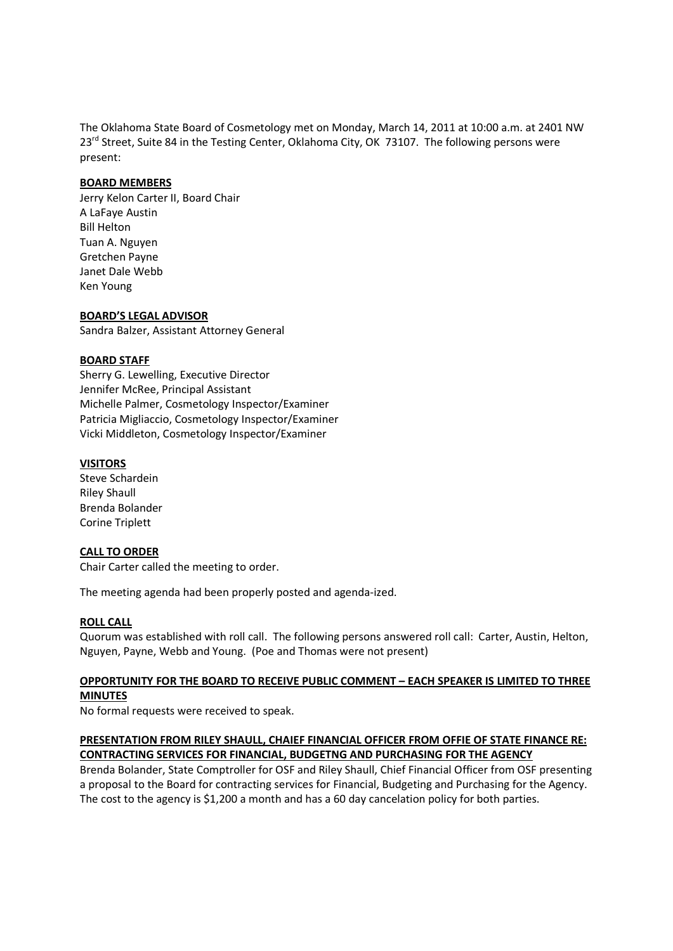The Oklahoma State Board of Cosmetology met on Monday, March 14, 2011 at 10:00 a.m. at 2401 NW 23<sup>rd</sup> Street, Suite 84 in the Testing Center, Oklahoma City, OK 73107. The following persons were present:

## **BOARD MEMBERS**

Jerry Kelon Carter II, Board Chair A LaFaye Austin Bill Helton Tuan A. Nguyen Gretchen Payne Janet Dale Webb Ken Young

### **BOARD'S LEGAL ADVISOR**

Sandra Balzer, Assistant Attorney General

### **BOARD STAFF**

Sherry G. Lewelling, Executive Director Jennifer McRee, Principal Assistant Michelle Palmer, Cosmetology Inspector/Examiner Patricia Migliaccio, Cosmetology Inspector/Examiner Vicki Middleton, Cosmetology Inspector/Examiner

### **VISITORS**

Steve Schardein Riley Shaull Brenda Bolander Corine Triplett

#### **CALL TO ORDER**

Chair Carter called the meeting to order.

The meeting agenda had been properly posted and agenda-ized.

# **ROLL CALL**

Quorum was established with roll call. The following persons answered roll call: Carter, Austin, Helton, Nguyen, Payne, Webb and Young. (Poe and Thomas were not present)

### **OPPORTUNITY FOR THE BOARD TO RECEIVE PUBLIC COMMENT – EACH SPEAKER IS LIMITED TO THREE MINUTES**

No formal requests were received to speak.

## **PRESENTATION FROM RILEY SHAULL, CHAIEF FINANCIAL OFFICER FROM OFFIE OF STATE FINANCE RE: CONTRACTING SERVICES FOR FINANCIAL, BUDGETNG AND PURCHASING FOR THE AGENCY**

Brenda Bolander, State Comptroller for OSF and Riley Shaull, Chief Financial Officer from OSF presenting a proposal to the Board for contracting services for Financial, Budgeting and Purchasing for the Agency. The cost to the agency is \$1,200 a month and has a 60 day cancelation policy for both parties.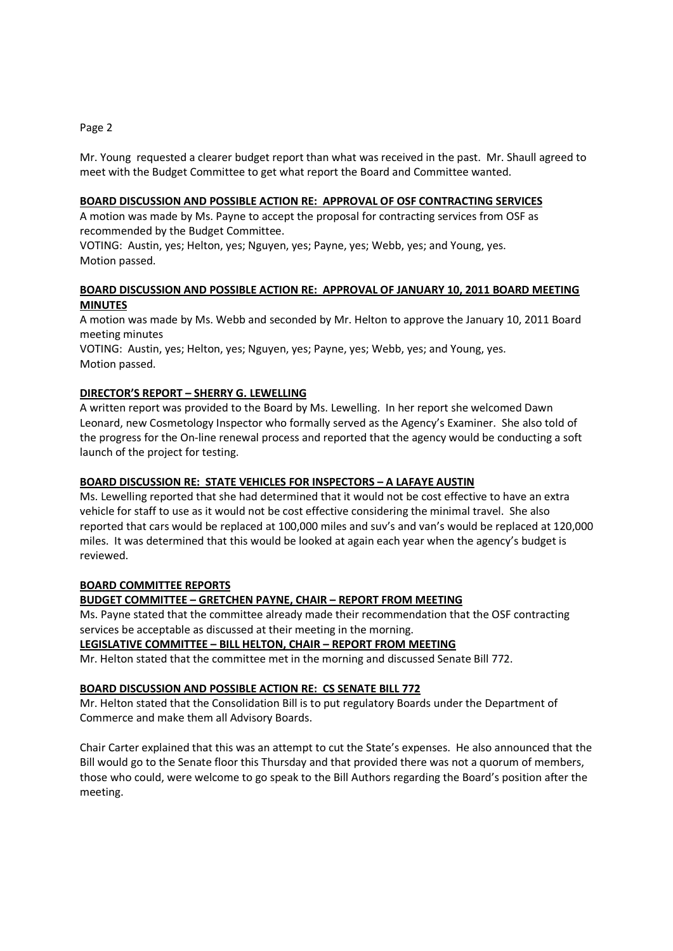### Page 2

Mr. Young requested a clearer budget report than what was received in the past. Mr. Shaull agreed to meet with the Budget Committee to get what report the Board and Committee wanted.

## **BOARD DISCUSSION AND POSSIBLE ACTION RE: APPROVAL OF OSF CONTRACTING SERVICES**

A motion was made by Ms. Payne to accept the proposal for contracting services from OSF as recommended by the Budget Committee.

VOTING: Austin, yes; Helton, yes; Nguyen, yes; Payne, yes; Webb, yes; and Young, yes. Motion passed.

# **BOARD DISCUSSION AND POSSIBLE ACTION RE: APPROVAL OF JANUARY 10, 2011 BOARD MEETING MINUTES**

A motion was made by Ms. Webb and seconded by Mr. Helton to approve the January 10, 2011 Board meeting minutes

VOTING: Austin, yes; Helton, yes; Nguyen, yes; Payne, yes; Webb, yes; and Young, yes. Motion passed.

# **DIRECTOR'S REPORT – SHERRY G. LEWELLING**

A written report was provided to the Board by Ms. Lewelling. In her report she welcomed Dawn Leonard, new Cosmetology Inspector who formally served as the Agency's Examiner. She also told of the progress for the On-line renewal process and reported that the agency would be conducting a soft launch of the project for testing.

# **BOARD DISCUSSION RE: STATE VEHICLES FOR INSPECTORS – A LAFAYE AUSTIN**

Ms. Lewelling reported that she had determined that it would not be cost effective to have an extra vehicle for staff to use as it would not be cost effective considering the minimal travel. She also reported that cars would be replaced at 100,000 miles and suv's and van's would be replaced at 120,000 miles. It was determined that this would be looked at again each year when the agency's budget is reviewed.

#### **BOARD COMMITTEE REPORTS**

# **BUDGET COMMITTEE – GRETCHEN PAYNE, CHAIR – REPORT FROM MEETING**

Ms. Payne stated that the committee already made their recommendation that the OSF contracting services be acceptable as discussed at their meeting in the morning.

### **LEGISLATIVE COMMITTEE – BILL HELTON, CHAIR – REPORT FROM MEETING**

Mr. Helton stated that the committee met in the morning and discussed Senate Bill 772.

#### **BOARD DISCUSSION AND POSSIBLE ACTION RE: CS SENATE BILL 772**

Mr. Helton stated that the Consolidation Bill is to put regulatory Boards under the Department of Commerce and make them all Advisory Boards.

Chair Carter explained that this was an attempt to cut the State's expenses. He also announced that the Bill would go to the Senate floor this Thursday and that provided there was not a quorum of members, those who could, were welcome to go speak to the Bill Authors regarding the Board's position after the meeting.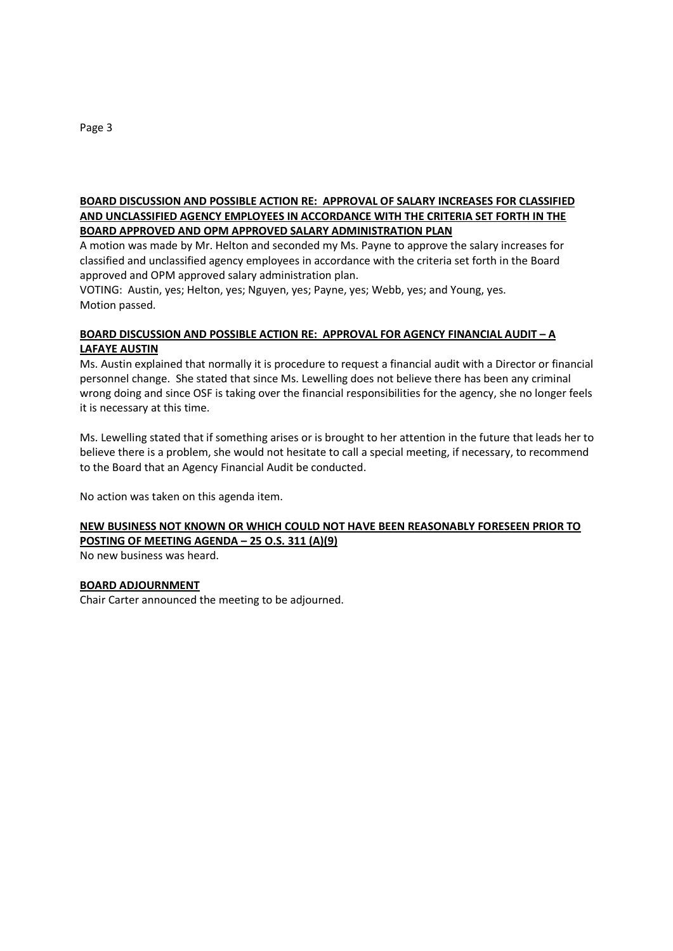# **BOARD DISCUSSION AND POSSIBLE ACTION RE: APPROVAL OF SALARY INCREASES FOR CLASSIFIED AND UNCLASSIFIED AGENCY EMPLOYEES IN ACCORDANCE WITH THE CRITERIA SET FORTH IN THE BOARD APPROVED AND OPM APPROVED SALARY ADMINISTRATION PLAN**

A motion was made by Mr. Helton and seconded my Ms. Payne to approve the salary increases for classified and unclassified agency employees in accordance with the criteria set forth in the Board approved and OPM approved salary administration plan.

VOTING: Austin, yes; Helton, yes; Nguyen, yes; Payne, yes; Webb, yes; and Young, yes. Motion passed.

# **BOARD DISCUSSION AND POSSIBLE ACTION RE: APPROVAL FOR AGENCY FINANCIAL AUDIT – A LAFAYE AUSTIN**

Ms. Austin explained that normally it is procedure to request a financial audit with a Director or financial personnel change. She stated that since Ms. Lewelling does not believe there has been any criminal wrong doing and since OSF is taking over the financial responsibilities for the agency, she no longer feels it is necessary at this time.

Ms. Lewelling stated that if something arises or is brought to her attention in the future that leads her to believe there is a problem, she would not hesitate to call a special meeting, if necessary, to recommend to the Board that an Agency Financial Audit be conducted.

No action was taken on this agenda item.

# **NEW BUSINESS NOT KNOWN OR WHICH COULD NOT HAVE BEEN REASONABLY FORESEEN PRIOR TO POSTING OF MEETING AGENDA – 25 O.S. 311 (A)(9)**

No new business was heard.

# **BOARD ADJOURNMENT**

Chair Carter announced the meeting to be adjourned.

Page 3